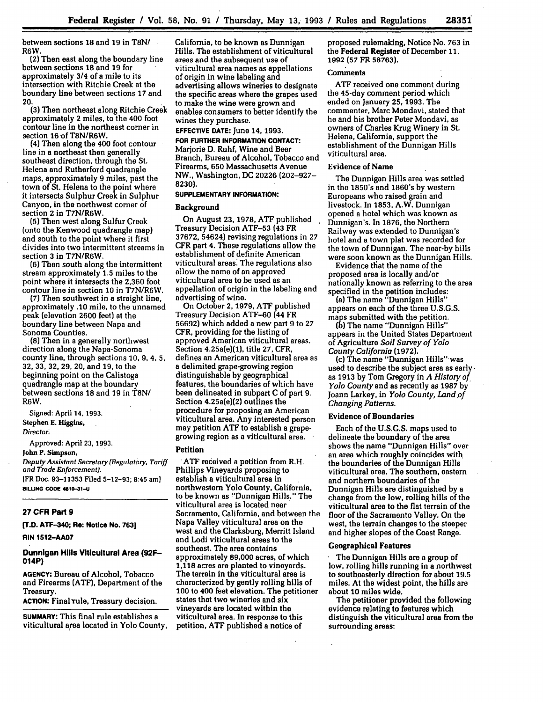between sections **18** and **19** in **T8N/** R6W.

(2) Then east along the boundary line between sections **18** and **19** for approximately 3/4 of a mile to its intersection with Ritchie Creek at the boundary line between sections **17** and 20.

**(3)** Then northeast along Ritchie Creek approximately 2 miles, to the 400 foot contour line in the northeast comer in section **16** of T8N/R6W.

(4) Then along the 400 foot contour line in a northeast then generally southeast direction, through the St. Helena and Rutherford quadrangle maps, approximately 9 miles, past the town of St. Helena to the point where it intersects Sulphur Creek in Sulphur Canyon, in the northwest comer of section **2** in T7N/R6W.

**(5)** Then west along Sulfur Creek (onto the Kenwood quadrangle map) and south to the point where it first divides into two intermittent streams in section **3** in T7N/R6W.

**(6)** Then south along the intermittent stream approximately **1.5** miles to the point where it intersects the **2,360** foot contour line in section **10** in T7N/R6W.

*(7)* Then southwest in a straight line, approximately **.10** mile, to the unnamed peak (elevation **2600** feet) at the boundary line between Napa and Sonoma Counties.

**(8)** Then in a generally northwest direction along the Napa-Sonoma county line, through sections **10, 9, 4, 5, 32, 33, 32,** 29, 20, and **19,** to the beginning point on the Calistoga quadrangle map at the boundary between sections 18 and 19 in T8N/ R6W.

Signed: April **14,** 1993. Stephen **E.** Higgins, *Director.*

Approved: April **23, 1993.**

**John P. Simpson.**

Deputy Assistant Secretary (Regulatory, Tariff and Trade Enforcement). **[FR Dec. 93-11353 Filed 5-12-93; 8:45 am) BILLING CODE 4810-31-U** 

# **27 CFR Part 9**

**[T.D. ATF-340; Re: Notice No. 763]**

### **RIN 1512-AA07**

# **Dunnigan Hills Viticultural Area (92F-014P)**

**AGENCY: Bureau of Alcohol, Tobacco and Firearms (ATF), Department of the Treasury.**

**ACTION:** Final rule, Treasury decision.

**SUMMARY:** This final rule establishes a viticultural area located in Yolo County,

California, to be known as Dunnigan Hills. The establishment of viticultural areas and the subsequent use of viticultural area names as appellations of origin in wine labeling and advertising allows wineries to designate the specific areas where the grapes used to make the wine were grown and enables consumers to better identify the wines they purchase.

**EFFECTIVE DATE:** June 14, **1993.**

**FOR FURTHER INFORMATION CONTACT:** Marjorie **D. Ruhf, Wine and Beer Branch,** Bureau **of Alcohol, Tobacco and** Firearms, **650** Massachusetts Avenue NW., Washington, **DC** 20226 (202-927- **8230).**

# **SUPPLEMENTARY INFORMATION:**

# **Background**

On August **23, 1978, ATF** published Treasury Decision **ATF-53 (43** FR **37672,** 54624) revising regulations in **27** CFR part **4.** These regulations allow the establishment of definite American viticultural areas' The regulations also allow the name of an approved viticultural area to be used as an appellation of origin in the labeling and advertising of wine.

On October 2, **1979, ATF** published Treasury Decision ATF-60 (44 FR 56692) which added a new part 9 to 27 CFR, providing for the listing of approved American viticultural areas. Section 4.25a(e)(1), title **27,** CFR, defines an American viticultural area as a delimited grape-growing region distinguishable **by** geographical features, the boundaries of which have been delineated in subpart C of part 9. Section 4.25a(e)(2) outlines the procedure for proposing an American viticultural area. Any interested person may petition ATF to establish a grapegrowing region as a viticultural area.

#### **Petition**

**ATF** received a petition from R.H. Phillips Vineyards proposing to establish a viticultural area in northwestern Yolo County, California, to be known as "Dunnigan Hills." The viticultural area is located near Sacramento, California, and between the Napa Valley viticultural area on the west and the Clarksburg, Merritt Island and Lodi viticultural areas to the southeast. The area contains approximately **89,000** acres, of which **1,118** acres are planted to vineyards. The terrain in the viticultural area is characterized **by** gently rolling hills of **100** to 400 feet elevation. The petitioner states that two wineries and six vineyards are located within the viticultural area. In response to this petition, **ATF** published a notice of

proposed rulemaking, Notice No. **763** in the Federal Register of December **11,** 1992 **(57** FR 58763).

# **Comments**

ATF received one comment during the 45-day comment period which ended on January **25, 1993.** The commenter, Marc Mondavi, stated that he and his brother Peter Mondavi, as owners of Charles Krug Winery in St. Helena, California, support the establishment of the Dunnigan Hills viticultural area.

# Evidence of Name

The Dunnigan Hills area was settled in the 1850's and 1860's **by** western Europeans who raised grain and livestock. In **1853,** A.W. Dunnigan opened a hotel which was known as Dunnigan's. In **1876,** the Northern Railway was extended to Dunnigan's hotel and a town plat was recorded for the town of Dunnigan. The near-by hills were soon known as the Dunnigan Hills.

Evidence thiat the name of the proposed area is locally and/or nationally known as referring to the area specified in the petition includes:

(a) The name "Dunnigan Hills" appears on each of the three U.S.G.S. maps submitted with the petition.

(b) The name "Dunnigan Hills" appears in the United States Department **of** Agriculture *Soil Survey of Yolo County California* **(1972).**

(c) The name "Dunnigan Hills"was used to describe the subject area as early  as 1913 by Tom Gregory in *A History of Yolo County* and as recently as 1987 by Joann Larkey, in *Yolo County, Land of Changing Patterns.*

# **Evidence of Boundaries**

Each of the U.S.G.S. maps used to delineate the boundary of the area shows the name "Dunnigan Hills" over an area which roughly coincides with the boundaries of the Dunnigan Hills viticultural area. The southern, eastern and northern boundaries of the Dunnigan Hills are distinguished by a change from the low, rolling hills of the viticultural area to the flat terrain of the floor of the Sacramento Valley. On the west, the terrain changes to the steeper and higher slopes of the Coast Range.

# **Geographical Features**

The Dunnigan Hills are a group of low, rolling hills running in a northwest to southeasterly direction for about **19.5** miles. At the widest point, the hills are about **10** miles wide.

The petitioner provided the following evidence relating to features which distinguish the viticultural area from the surrounding areas: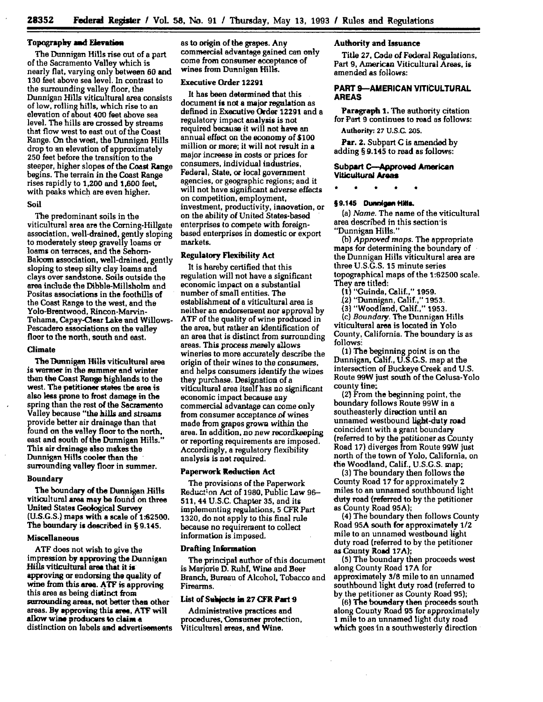# **Topography mmd Eievatim**

The Dunnigan Hills rise out of a part of the Sacramento Valley which is nearly flat, varying only between **60** and **130** feet above sea level. In contrast to the surrounding valley floor, the Dunnigan Hills viticultural area consists of low, rolling hills, which rise to an elevation of about 400 feet above sea level. The hills are crossed **by** streams that flow west to east out of the Coast Range. On the west, the Dunnigan Hills drop to an elevation of approximately **250** feet before the transition to the steeper, higher slopes of the Coast Range begins. The terrain in the Coast Range rises rapidly to 1,200 and **1,600** feet, with peaks which are even higher.

# Soil

The predominant soils in the viticultural area are the Corning-Hillgate association, well-drained, gently sloping to moderately steep gravelly larns or loams on terraces, and the Sehorn-Balcom association, well-drained, gently sloping to steep silty clay **larns** and clays over sandstone. Soils outside the area include the Dibble-Millsholm and Positas associations in the foothills of the Coast Range to the west, and the Yolo-Brentwood, Rincon-Marvin-Tehama, Capay-Clear Lake and Willows-Pescadero associations on the valley floor to the north, south and east.

# Climate

The Dunigan Hills viticultural area is warmer in the summer **and** winter than the Coast Range highlands to the west. The petitioner states the area is also less prone to frost damage in the spring than the rest of the Sacramento Valley because "the hills and streams provide better air drainage than that found on the valley floor to the north, east and south of the Dunnigan Hills." This air drainage **also** makes the Dunnigan Hills cooler than the surrounding valley floor in summer.

# Boundary

The boundary of the Dunnigan Hills viticultural area may be found on three United States Geological Survey **(U.S.G.S.)** maps with a scale of **1.62500.** The boundary is described in **§** 9.145.

# Miscellaneous

**ATF** does not wish to give the impression **by** approving the Dunnigan Hills viticultural area that it is approving or endorsing the quality of wine from this **area. ATF** is approving this area as being distinct from surrounding areas, not better then other areas. **By** approving this **arm, AT?** will allow wine producers **to claime** distinction on labels and advertisements as to origin of the grapes. Any commercial advantage gained can only come from consumer acceptance of wines from Dunnigan Hills.

# Executive Order 12291

It has been determined that this document **is** not a major regulation as defined in Executive Order **12291** and a regulatory impact analysis is not required because it will not have an annual effect on the economy of **\$100** million or more; it will not result in a major increase in costs or prices for consumers, individual industries, Federal, State, or local government agencies, or geographic regions; and it will not have significant adverse effects on competition, employment, investment, productivity, innovation, or on the ability **of** United States-based enterprises to compete with foreignbased enterprises in domestic or export markets.

# Regulatory Flexibility Act

It is hereby certified that this regulation will not have a significant economic impact on a substantial number of small entities. The establishment of a viticultural area is neither an endorsement nor approval **by ATF** of the quality of wine produced in the area, but rather an identification of an area that is distinct from surrounding areas. This process merely allows wineries to more accurately describe the origin of their wines to the consumers, and helps consumers identify the wines they purchase. Designation of a viticultural area itself has no significant economic impact because any commercial advantage can come only from consumer acceptance of wines made from grapes grown within the area. In addition, no new recordkeeping or reporting requirements are imposed. Accordingly, a regulatory flexibility analysis is not required.

# Paperwork Reduction Act

The provisions of the Paperwork Reduct;on Act of **1980,** Public Law **96- 511,** 44 **U.S.C.** Chapter **35,** and its implementing regulations, **5** CFR Part **1320,** do not apply to this final rule because no requirement to collect information is imposed.

### Drafting Information

The principal author of this document is Marjorie **D.** Ruhf, Wine and Beer Branch. Bureau of Alcohol. Tobacco and Firearms.

# List of Subjects in 27 CFR Part 9

Administrative practices and procedures, Consumer protection, Viticultural areas, and Wine.

# **Authority and Issuance**

Title **27,** Code of Federal Regulations, Part **9,** American Viticultural Areas, is amended as follows:

# **PART 9-AMERICAN VITIOULTURAL AREAS**

Paragraph **1.** The authority citation for Part **9** continues to read as follows: **Authority: 27 U.S.C. 205.**

**Par. 2.** Subpart **C** is amended **by** adding **§** 9.145 to read as **follows:**

Subpart C--Approved **American Vitkultural Areas**

# §9.145 Dunnigan Hills.

(a) *Name.* The name of the viticultural area described in this section-is "Dunnigan Hills."

*(b) Approved maps.* The appropriate maps for determining the boundary of the Dunnigan Hills viticultural area are three U.S.G.S. 15 minute series topographical maps of the **1:62500** scale. They are titled:

- **(1)** "Guinda, Calif.," **1959.**
- (2) "Dunnigan, Calif.," **1953.**
- **(3)** "Woodland, Calif.," 1953.

(c) Boundary. The Dunnigan Hills viticultural area is located in Yolo County, California. The boundary is as **follows:**

**(1)** The beginning point is on the Dunnigan. Calif., **U.S.G.S.** map at the intersection of Buckeye Creek and U.S. Route 99W just soulh of the Colusa-Yolo county line;

(2) From the beginning point, the boundary follows Route 99W in a southeasterly direction until an unnamed westbound light-duty road coincident with a grant boundary (referred to **by** the petitioner as County Road **17)** diverges from Route 99W just north of the town of Yolo, California, on **the** Woodland, Calif., **U.S.G.S.** map;

**(3)** The boundary then follows the County Road **17** for approximately 2 miles to an unnamed southbound light duty road freferred to **by** the petitioner as County Road **95A);**

(4) The boundary then follows County Road **95A** south for approximately 1/2 mile to an unnamed westbound light duty road (referred to **by** the petitioner as County Road **17A);**

**(5)** The boundary then proceeds west along County Road **17A** for approximately **3/8** mile to an unnamed southbound light duty road (referred to by the petitioner as County Road 95);

**(6) The boundary then proceeds south** along County Road **95** for approximately **1** mile to an unnamed light duty road which goes in a southwesterly direction